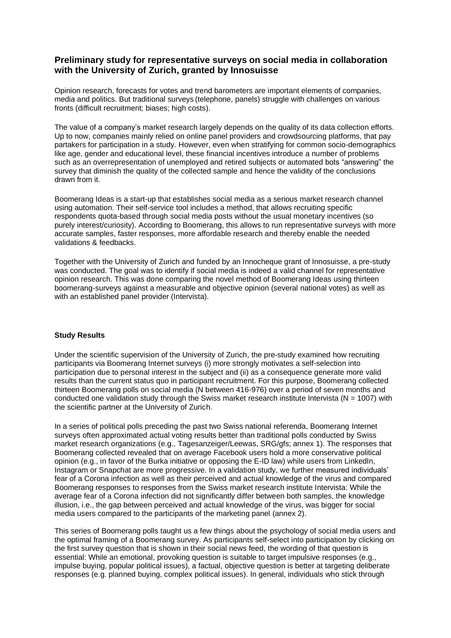## **Preliminary study for representative surveys on social media in collaboration with the University of Zurich, granted by Innosuisse**

Opinion research, forecasts for votes and trend barometers are important elements of companies, media and politics. But traditional surveys (telephone, panels) struggle with challenges on various fronts (difficult recruitment; biases; high costs).

The value of a company's market research largely depends on the quality of its data collection efforts. Up to now, companies mainly relied on online panel providers and crowdsourcing platforms, that pay partakers for participation in a study. However, even when stratifying for common socio-demographics like age, gender and educational level, these financial incentives introduce a number of problems such as an overrepresentation of unemployed and retired subjects or automated bots "answering" the survey that diminish the quality of the collected sample and hence the validity of the conclusions drawn from it.

Boomerang Ideas is a start-up that establishes social media as a serious market research channel using automation. Their self-service tool includes a method, that allows recruiting specific respondents quota-based through social media posts without the usual monetary incentives (so purely interest/curiosity). According to Boomerang, this allows to run representative surveys with more accurate samples, faster responses, more affordable research and thereby enable the needed validations & feedbacks.

Together with the University of Zurich and funded by an Innocheque grant of Innosuisse, a pre-study was conducted. The goal was to identify if social media is indeed a valid channel for representative opinion research. This was done comparing the novel method of Boomerang Ideas using thirteen boomerang-surveys against a measurable and objective opinion (several national votes) as well as with an established panel provider (Intervista).

## **Study Results**

Under the scientific supervision of the University of Zurich, the pre-study examined how recruiting participants via Boomerang Internet surveys (i) more strongly motivates a self-selection into participation due to personal interest in the subject and (ii) as a consequence generate more valid results than the current status quo in participant recruitment. For this purpose, Boomerang collected thirteen Boomerang polls on social media (N between 416-976) over a period of seven months and conducted one validation study through the Swiss market research institute Intervista ( $N = 1007$ ) with the scientific partner at the University of Zurich.

In a series of political polls preceding the past two Swiss national referenda, Boomerang Internet surveys often approximated actual voting results better than traditional polls conducted by Swiss market research organizations (e.g., Tagesanzeiger/Leewas, SRG/gfs; annex 1). The responses that Boomerang collected revealed that on average Facebook users hold a more conservative political opinion (e.g., in favor of the Burka initiative or opposing the E-ID law) while users from LinkedIn, Instagram or Snapchat are more progressive. In a validation study, we further measured individuals' fear of a Corona infection as well as their perceived and actual knowledge of the virus and compared Boomerang responses to responses from the Swiss market research institute Intervista: While the average fear of a Corona infection did not significantly differ between both samples, the knowledge illusion, i.e., the gap between perceived and actual knowledge of the virus, was bigger for social media users compared to the participants of the marketing panel (annex 2).

This series of Boomerang polls taught us a few things about the psychology of social media users and the optimal framing of a Boomerang survey. As participants self-select into participation by clicking on the first survey question that is shown in their social news feed, the wording of that question is essential: While an emotional, provoking question is suitable to target impulsive responses (e.g., impulse buying, popular political issues), a factual, objective question is better at targeting deliberate responses (e.g. planned buying, complex political issues). In general, individuals who stick through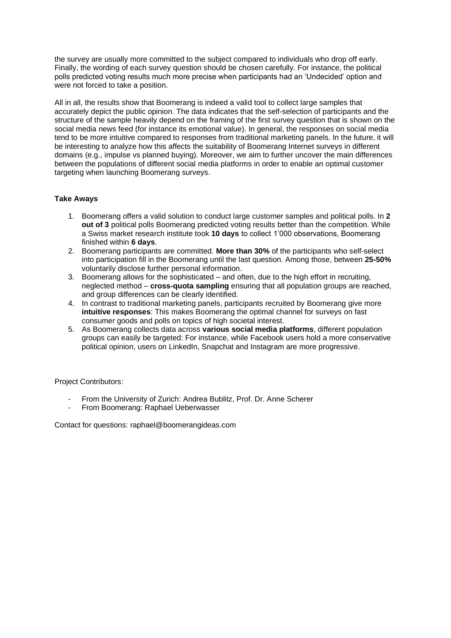the survey are usually more committed to the subject compared to individuals who drop off early. Finally, the wording of each survey question should be chosen carefully. For instance, the political polls predicted voting results much more precise when participants had an 'Undecided' option and were not forced to take a position.

All in all, the results show that Boomerang is indeed a valid tool to collect large samples that accurately depict the public opinion. The data indicates that the self-selection of participants and the structure of the sample heavily depend on the framing of the first survey question that is shown on the social media news feed (for instance its emotional value). In general, the responses on social media tend to be more intuitive compared to responses from traditional marketing panels. In the future, it will be interesting to analyze how this affects the suitability of Boomerang Internet surveys in different domains (e.g., impulse vs planned buying). Moreover, we aim to further uncover the main differences between the populations of different social media platforms in order to enable an optimal customer targeting when launching Boomerang surveys.

## **Take Aways**

- 1. Boomerang offers a valid solution to conduct large customer samples and political polls. In **2 out of 3** political polls Boomerang predicted voting results better than the competition. While a Swiss market research institute took **10 days** to collect 1'000 observations, Boomerang finished within **6 days**.
- 2. Boomerang participants are committed. **More than 30%** of the participants who self-select into participation fill in the Boomerang until the last question. Among those, between **25-50%**  voluntarily disclose further personal information.
- 3. Boomerang allows for the sophisticated and often, due to the high effort in recruiting, neglected method – **cross-quota sampling** ensuring that all population groups are reached, and group differences can be clearly identified.
- 4. In contrast to traditional marketing panels, participants recruited by Boomerang give more **intuitive responses**: This makes Boomerang the optimal channel for surveys on fast consumer goods and polls on topics of high societal interest.
- 5. As Boomerang collects data across **various social media platforms**, different population groups can easily be targeted: For instance, while Facebook users hold a more conservative political opinion, users on LinkedIn, Snapchat and Instagram are more progressive.

Project Contributors:

- From the University of Zurich: Andrea Bublitz, Prof. Dr. Anne Scherer
- From Boomerang: Raphael Ueberwasser

Contact for questions: raphael@boomerangideas.com